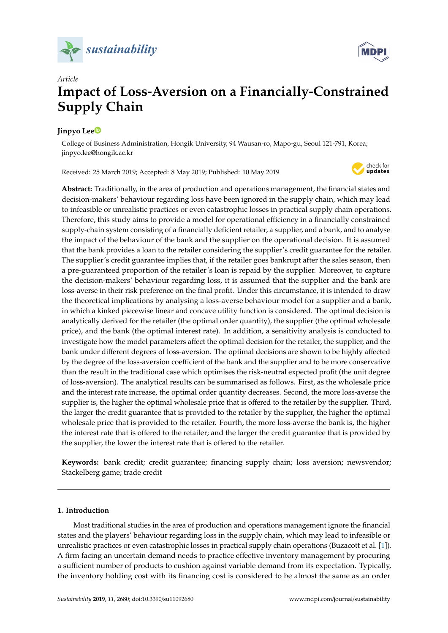



# *Article* **Impact of Loss-Aversion on a Financially-Constrained Supply Chain**

# **Jinpyo Le[e](https://orcid.org/0000-0001-6613-400X)**

College of Business Administration, Hongik University, 94 Wausan-ro, Mapo-gu, Seoul 121-791, Korea; jinpyo.lee@hongik.ac.kr

Received: 25 March 2019; Accepted: 8 May 2019; Published: 10 May 2019



**Abstract:** Traditionally, in the area of production and operations management, the financial states and decision-makers' behaviour regarding loss have been ignored in the supply chain, which may lead to infeasible or unrealistic practices or even catastrophic losses in practical supply chain operations. Therefore, this study aims to provide a model for operational efficiency in a financially constrained supply-chain system consisting of a financially deficient retailer, a supplier, and a bank, and to analyse the impact of the behaviour of the bank and the supplier on the operational decision. It is assumed that the bank provides a loan to the retailer considering the supplier's credit guarantee for the retailer. The supplier's credit guarantee implies that, if the retailer goes bankrupt after the sales season, then a pre-guaranteed proportion of the retailer's loan is repaid by the supplier. Moreover, to capture the decision-makers' behaviour regarding loss, it is assumed that the supplier and the bank are loss-averse in their risk preference on the final profit. Under this circumstance, it is intended to draw the theoretical implications by analysing a loss-averse behaviour model for a supplier and a bank, in which a kinked piecewise linear and concave utility function is considered. The optimal decision is analytically derived for the retailer (the optimal order quantity), the supplier (the optimal wholesale price), and the bank (the optimal interest rate). In addition, a sensitivity analysis is conducted to investigate how the model parameters affect the optimal decision for the retailer, the supplier, and the bank under different degrees of loss-aversion. The optimal decisions are shown to be highly affected by the degree of the loss-aversion coefficient of the bank and the supplier and to be more conservative than the result in the traditional case which optimises the risk-neutral expected profit (the unit degree of loss-aversion). The analytical results can be summarised as follows. First, as the wholesale price and the interest rate increase, the optimal order quantity decreases. Second, the more loss-averse the supplier is, the higher the optimal wholesale price that is offered to the retailer by the supplier. Third, the larger the credit guarantee that is provided to the retailer by the supplier, the higher the optimal wholesale price that is provided to the retailer. Fourth, the more loss-averse the bank is, the higher the interest rate that is offered to the retailer; and the larger the credit guarantee that is provided by the supplier, the lower the interest rate that is offered to the retailer.

**Keywords:** bank credit; credit guarantee; financing supply chain; loss aversion; newsvendor; Stackelberg game; trade credit

## **1. Introduction**

Most traditional studies in the area of production and operations management ignore the financial states and the players' behaviour regarding loss in the supply chain, which may lead to infeasible or unrealistic practices or even catastrophic losses in practical supply chain operations (Buzacott et al. [\[1\]](#page-17-0)). A firm facing an uncertain demand needs to practice effective inventory management by procuring a sufficient number of products to cushion against variable demand from its expectation. Typically, the inventory holding cost with its financing cost is considered to be almost the same as an order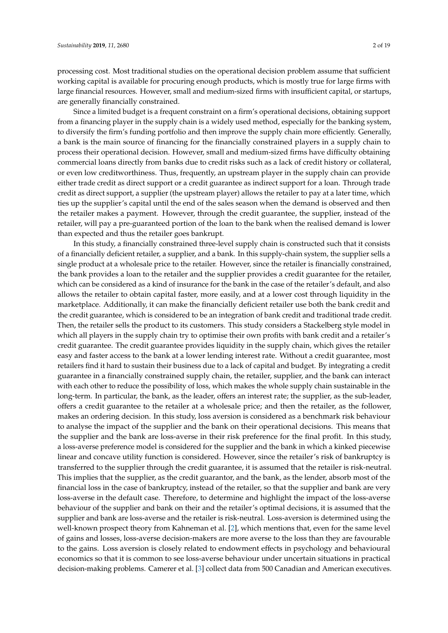processing cost. Most traditional studies on the operational decision problem assume that sufficient working capital is available for procuring enough products, which is mostly true for large firms with large financial resources. However, small and medium-sized firms with insufficient capital, or startups, are generally financially constrained.

Since a limited budget is a frequent constraint on a firm's operational decisions, obtaining support from a financing player in the supply chain is a widely used method, especially for the banking system, to diversify the firm's funding portfolio and then improve the supply chain more efficiently. Generally, a bank is the main source of financing for the financially constrained players in a supply chain to process their operational decision. However, small and medium-sized firms have difficulty obtaining commercial loans directly from banks due to credit risks such as a lack of credit history or collateral, or even low creditworthiness. Thus, frequently, an upstream player in the supply chain can provide either trade credit as direct support or a credit guarantee as indirect support for a loan. Through trade credit as direct support, a supplier (the upstream player) allows the retailer to pay at a later time, which ties up the supplier's capital until the end of the sales season when the demand is observed and then the retailer makes a payment. However, through the credit guarantee, the supplier, instead of the retailer, will pay a pre-guaranteed portion of the loan to the bank when the realised demand is lower than expected and thus the retailer goes bankrupt.

In this study, a financially constrained three-level supply chain is constructed such that it consists of a financially deficient retailer, a supplier, and a bank. In this supply-chain system, the supplier sells a single product at a wholesale price to the retailer. However, since the retailer is financially constrained, the bank provides a loan to the retailer and the supplier provides a credit guarantee for the retailer, which can be considered as a kind of insurance for the bank in the case of the retailer's default, and also allows the retailer to obtain capital faster, more easily, and at a lower cost through liquidity in the marketplace. Additionally, it can make the financially deficient retailer use both the bank credit and the credit guarantee, which is considered to be an integration of bank credit and traditional trade credit. Then, the retailer sells the product to its customers. This study considers a Stackelberg style model in which all players in the supply chain try to optimise their own profits with bank credit and a retailer's credit guarantee. The credit guarantee provides liquidity in the supply chain, which gives the retailer easy and faster access to the bank at a lower lending interest rate. Without a credit guarantee, most retailers find it hard to sustain their business due to a lack of capital and budget. By integrating a credit guarantee in a financially constrained supply chain, the retailer, supplier, and the bank can interact with each other to reduce the possibility of loss, which makes the whole supply chain sustainable in the long-term. In particular, the bank, as the leader, offers an interest rate; the supplier, as the sub-leader, offers a credit guarantee to the retailer at a wholesale price; and then the retailer, as the follower, makes an ordering decision. In this study, loss aversion is considered as a benchmark risk behaviour to analyse the impact of the supplier and the bank on their operational decisions. This means that the supplier and the bank are loss-averse in their risk preference for the final profit. In this study, a loss-averse preference model is considered for the supplier and the bank in which a kinked piecewise linear and concave utility function is considered. However, since the retailer's risk of bankruptcy is transferred to the supplier through the credit guarantee, it is assumed that the retailer is risk-neutral. This implies that the supplier, as the credit guarantor, and the bank, as the lender, absorb most of the financial loss in the case of bankruptcy, instead of the retailer, so that the supplier and bank are very loss-averse in the default case. Therefore, to determine and highlight the impact of the loss-averse behaviour of the supplier and bank on their and the retailer's optimal decisions, it is assumed that the supplier and bank are loss-averse and the retailer is risk-neutral. Loss-aversion is determined using the well-known prospect theory from Kahneman et al. [\[2\]](#page-17-1), which mentions that, even for the same level of gains and losses, loss-averse decision-makers are more averse to the loss than they are favourable to the gains. Loss aversion is closely related to endowment effects in psychology and behavioural economics so that it is common to see loss-averse behaviour under uncertain situations in practical decision-making problems. Camerer et al. [\[3\]](#page-17-2) collect data from 500 Canadian and American executives.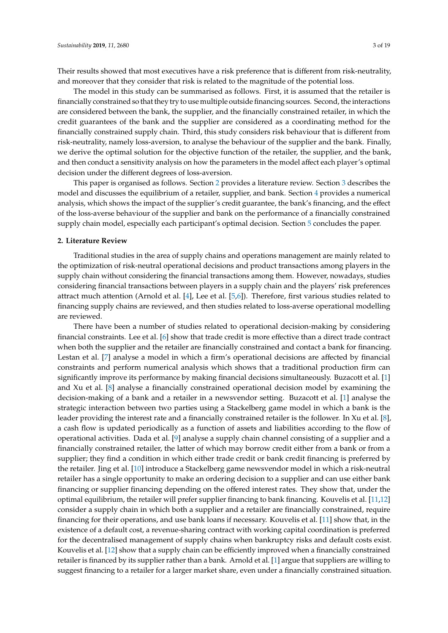Their results showed that most executives have a risk preference that is different from risk-neutrality, and moreover that they consider that risk is related to the magnitude of the potential loss.

The model in this study can be summarised as follows. First, it is assumed that the retailer is financially constrained so that they try to use multiple outside financing sources. Second, the interactions are considered between the bank, the supplier, and the financially constrained retailer, in which the credit guarantees of the bank and the supplier are considered as a coordinating method for the financially constrained supply chain. Third, this study considers risk behaviour that is different from risk-neutrality, namely loss-aversion, to analyse the behaviour of the supplier and the bank. Finally, we derive the optimal solution for the objective function of the retailer, the supplier, and the bank, and then conduct a sensitivity analysis on how the parameters in the model affect each player's optimal decision under the different degrees of loss-aversion.

This paper is organised as follows. Section [2](#page-2-0) provides a literature review. Section [3](#page-4-0) describes the model and discusses the equilibrium of a retailer, supplier, and bank. Section [4](#page-14-0) provides a numerical analysis, which shows the impact of the supplier's credit guarantee, the bank's financing, and the effect of the loss-averse behaviour of the supplier and bank on the performance of a financially constrained supply chain model, especially each participant's optimal decision. Section [5](#page-16-0) concludes the paper.

#### <span id="page-2-0"></span>**2. Literature Review**

Traditional studies in the area of supply chains and operations management are mainly related to the optimization of risk-neutral operational decisions and product transactions among players in the supply chain without considering the financial transactions among them. However, nowadays, studies considering financial transactions between players in a supply chain and the players' risk preferences attract much attention (Arnold et al. [\[4\]](#page-17-3), Lee et al. [\[5,](#page-17-4)[6\]](#page-17-5)). Therefore, first various studies related to financing supply chains are reviewed, and then studies related to loss-averse operational modelling are reviewed.

There have been a number of studies related to operational decision-making by considering financial constraints. Lee et al. [\[6\]](#page-17-5) show that trade credit is more effective than a direct trade contract when both the supplier and the retailer are financially constrained and contact a bank for financing. Lestan et al. [\[7\]](#page-17-6) analyse a model in which a firm's operational decisions are affected by financial constraints and perform numerical analysis which shows that a traditional production firm can significantly improve its performance by making financial decisions simultaneously. Buzacott et al. [\[1\]](#page-17-0) and Xu et al. [\[8\]](#page-17-7) analyse a financially constrained operational decision model by examining the decision-making of a bank and a retailer in a newsvendor setting. Buzacott et al. [\[1\]](#page-17-0) analyse the strategic interaction between two parties using a Stackelberg game model in which a bank is the leader providing the interest rate and a financially constrained retailer is the follower. In Xu et al. [\[8\]](#page-17-7), a cash flow is updated periodically as a function of assets and liabilities according to the flow of operational activities. Dada et al. [\[9\]](#page-17-8) analyse a supply chain channel consisting of a supplier and a financially constrained retailer, the latter of which may borrow credit either from a bank or from a supplier; they find a condition in which either trade credit or bank credit financing is preferred by the retailer. Jing et al. [\[10\]](#page-17-9) introduce a Stackelberg game newsvendor model in which a risk-neutral retailer has a single opportunity to make an ordering decision to a supplier and can use either bank financing or supplier financing depending on the offered interest rates. They show that, under the optimal equilibrium, the retailer will prefer supplier financing to bank financing. Kouvelis et al. [\[11,](#page-17-10)[12\]](#page-17-11) consider a supply chain in which both a supplier and a retailer are financially constrained, require financing for their operations, and use bank loans if necessary. Kouvelis et al. [\[11\]](#page-17-10) show that, in the existence of a default cost, a revenue-sharing contract with working capital coordination is preferred for the decentralised management of supply chains when bankruptcy risks and default costs exist. Kouvelis et al. [\[12\]](#page-17-11) show that a supply chain can be efficiently improved when a financially constrained retailer is financed by its supplier rather than a bank. Arnold et al. [\[1\]](#page-17-0) argue that suppliers are willing to suggest financing to a retailer for a larger market share, even under a financially constrained situation.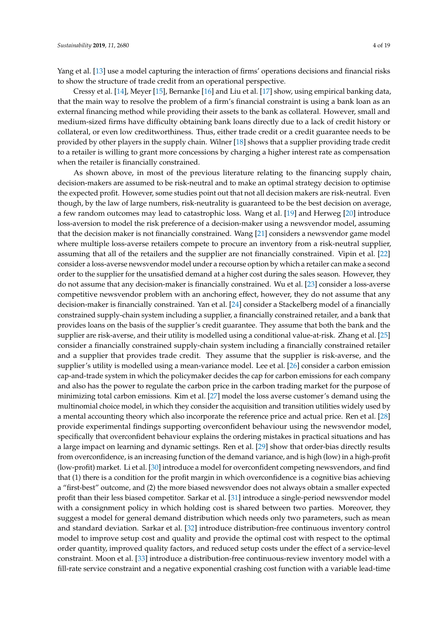Yang et al. [\[13\]](#page-17-12) use a model capturing the interaction of firms' operations decisions and financial risks to show the structure of trade credit from an operational perspective.

Cressy et al. [\[14\]](#page-17-13), Meyer [\[15\]](#page-17-14), Bernanke [\[16\]](#page-17-15) and Liu et al. [\[17\]](#page-17-16) show, using empirical banking data, that the main way to resolve the problem of a firm's financial constraint is using a bank loan as an external financing method while providing their assets to the bank as collateral. However, small and medium-sized firms have difficulty obtaining bank loans directly due to a lack of credit history or collateral, or even low creditworthiness. Thus, either trade credit or a credit guarantee needs to be provided by other players in the supply chain. Wilner [\[18\]](#page-18-0) shows that a supplier providing trade credit to a retailer is willing to grant more concessions by charging a higher interest rate as compensation when the retailer is financially constrained.

As shown above, in most of the previous literature relating to the financing supply chain, decision-makers are assumed to be risk-neutral and to make an optimal strategy decision to optimise the expected profit. However, some studies point out that not all decision makers are risk-neutral. Even though, by the law of large numbers, risk-neutrality is guaranteed to be the best decision on average, a few random outcomes may lead to catastrophic loss. Wang et al. [\[19\]](#page-18-1) and Herweg [\[20\]](#page-18-2) introduce loss-aversion to model the risk preference of a decision-maker using a newsvendor model, assuming that the decision maker is not financially constrained. Wang [\[21\]](#page-18-3) considers a newsvendor game model where multiple loss-averse retailers compete to procure an inventory from a risk-neutral supplier, assuming that all of the retailers and the supplier are not financially constrained. Vipin et al. [\[22\]](#page-18-4) consider a loss-averse newsvendor model under a recourse option by which a retailer can make a second order to the supplier for the unsatisfied demand at a higher cost during the sales season. However, they do not assume that any decision-maker is financially constrained. Wu et al. [\[23\]](#page-18-5) consider a loss-averse competitive newsvendor problem with an anchoring effect, however, they do not assume that any decision-maker is financially constrained. Yan et al. [\[24\]](#page-18-6) consider a Stackelberg model of a financially constrained supply-chain system including a supplier, a financially constrained retailer, and a bank that provides loans on the basis of the supplier's credit guarantee. They assume that both the bank and the supplier are risk-averse, and their utility is modelled using a conditional value-at-risk. Zhang et al. [\[25\]](#page-18-7) consider a financially constrained supply-chain system including a financially constrained retailer and a supplier that provides trade credit. They assume that the supplier is risk-averse, and the supplier's utility is modelled using a mean-variance model. Lee et al. [\[26\]](#page-18-8) consider a carbon emission cap-and-trade system in which the policymaker decides the cap for carbon emissions for each company and also has the power to regulate the carbon price in the carbon trading market for the purpose of minimizing total carbon emissions. Kim et al. [\[27\]](#page-18-9) model the loss averse customer's demand using the multinomial choice model, in which they consider the acquisition and transition utilities widely used by a mental accounting theory which also incorporate the reference price and actual price. Ren et al. [\[28\]](#page-18-10) provide experimental findings supporting overconfident behaviour using the newsvendor model, specifically that overconfident behaviour explains the ordering mistakes in practical situations and has a large impact on learning and dynamic settings. Ren et al. [\[29\]](#page-18-11) show that order-bias directly results from overconfidence, is an increasing function of the demand variance, and is high (low) in a high-profit (low-profit) market. Li et al. [\[30\]](#page-18-12) introduce a model for overconfident competing newsvendors, and find that (1) there is a condition for the profit margin in which overconfidence is a cognitive bias achieving a "first-best" outcome, and (2) the more biased newsvendor does not always obtain a smaller expected profit than their less biased competitor. Sarkar et al. [\[31\]](#page-18-13) introduce a single-period newsvendor model with a consignment policy in which holding cost is shared between two parties. Moreover, they suggest a model for general demand distribution which needs only two parameters, such as mean and standard deviation. Sarkar et al. [\[32\]](#page-18-14) introduce distribution-free continuous inventory control model to improve setup cost and quality and provide the optimal cost with respect to the optimal order quantity, improved quality factors, and reduced setup costs under the effect of a service-level constraint. Moon et al. [\[33\]](#page-18-15) introduce a distribution-free continuous-review inventory model with a fill-rate service constraint and a negative exponential crashing cost function with a variable lead-time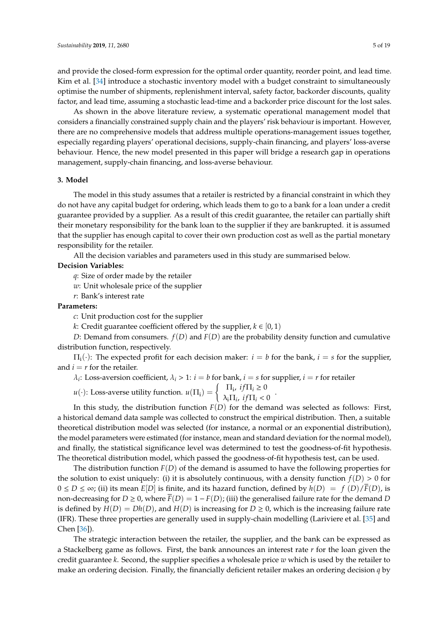and provide the closed-form expression for the optimal order quantity, reorder point, and lead time. Kim et al. [\[34\]](#page-18-16) introduce a stochastic inventory model with a budget constraint to simultaneously optimise the number of shipments, replenishment interval, safety factor, backorder discounts, quality factor, and lead time, assuming a stochastic lead-time and a backorder price discount for the lost sales.

As shown in the above literature review, a systematic operational management model that considers a financially constrained supply chain and the players' risk behaviour is important. However, there are no comprehensive models that address multiple operations-management issues together, especially regarding players' operational decisions, supply-chain financing, and players' loss-averse behaviour. Hence, the new model presented in this paper will bridge a research gap in operations management, supply-chain financing, and loss-averse behaviour.

## <span id="page-4-0"></span>**3. Model**

The model in this study assumes that a retailer is restricted by a financial constraint in which they do not have any capital budget for ordering, which leads them to go to a bank for a loan under a credit guarantee provided by a supplier. As a result of this credit guarantee, the retailer can partially shift their monetary responsibility for the bank loan to the supplier if they are bankrupted. it is assumed that the supplier has enough capital to cover their own production cost as well as the partial monetary responsibility for the retailer.

All the decision variables and parameters used in this study are summarised below.

#### **Decision Variables:**

*q*: Size of order made by the retailer

*w*: Unit wholesale price of the supplier

*r*: Bank's interest rate

#### **Parameters:**

*c*: Unit production cost for the supplier

*k*: Credit guarantee coefficient offered by the supplier,  $k \in [0, 1)$ 

*D*: Demand from consumers. *f*(*D*) and *F*(*D*) are the probability density function and cumulative distribution function, respectively.

 $\Pi_i(\cdot)$ : The expected profit for each decision maker:  $i = b$  for the bank,  $i = s$  for the supplier, and  $i = r$  for the retailer.

 $\lambda_i$ : Loss-aversion coefficient,  $\lambda_i > 1$ :  $i = b$  for bank,  $i = s$  for supplier,  $i = r$  for retailer

*u*(·): Loss-averse utility function.  $u(\Pi_i) = \begin{cases} \Pi_i, & \text{if } \Pi_i \geq 0 \\ \lambda_i \Pi_{i+1} & \text{if } \Pi_i > 0 \end{cases}$  $\lambda_i \Pi_i$ , *if*  $\Pi_i < 0$ 

In this study, the distribution function *F*(*D*) for the demand was selected as follows: First, a historical demand data sample was collected to construct the empirical distribution. Then, a suitable theoretical distribution model was selected (for instance, a normal or an exponential distribution), the model parameters were estimated (for instance, mean and standard deviation for the normal model), and finally, the statistical significance level was determined to test the goodness-of-fit hypothesis. The theoretical distribution model, which passed the goodness-of-fit hypothesis test, can be used.

The distribution function *F*(*D*) of the demand is assumed to have the following properties for the solution to exist uniquely: (i) it is absolutely continuous, with a density function  $f(D) > 0$  for  $0 ≤ D ≤ ∞$ ; (ii) its mean  $E[D]$  is finite, and its hazard function, defined by  $h(D) = f(D)/\overline{F}(D)$ , is non-decreasing for  $D \ge 0$ , where  $\overline{F}(D) = 1 - F(D)$ ; (iii) the generalised failure rate for the demand *D* is defined by  $H(D) = Dh(D)$ , and  $H(D)$  is increasing for  $D \ge 0$ , which is the increasing failure rate (IFR). These three properties are generally used in supply-chain modelling (Lariviere et al. [\[35\]](#page-18-17) and Chen [\[36\]](#page-18-18)).

The strategic interaction between the retailer, the supplier, and the bank can be expressed as a Stackelberg game as follows. First, the bank announces an interest rate *r* for the loan given the credit guarantee *k*. Second, the supplier specifies a wholesale price *w* which is used by the retailer to make an ordering decision. Finally, the financially deficient retailer makes an ordering decision *q* by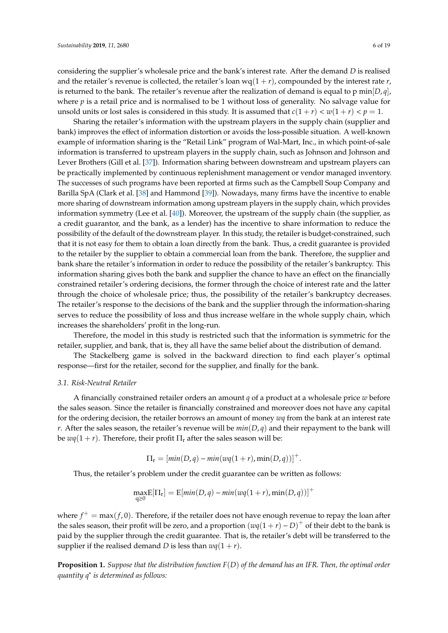considering the supplier's wholesale price and the bank's interest rate. After the demand *D* is realised and the retailer's revenue is collected, the retailer's loan  $wq(1 + r)$ , compounded by the interest rate *r*, is returned to the bank. The retailer's revenue after the realization of demand is equal to p min $|D, q|$ , where *p* is a retail price and is normalised to be 1 without loss of generality. No salvage value for unsold units or lost sales is considered in this study. It is assumed that  $c(1 + r) < w(1 + r) < p = 1$ .

Sharing the retailer's information with the upstream players in the supply chain (supplier and bank) improves the effect of information distortion or avoids the loss-possible situation. A well-known example of information sharing is the "Retail Link" program of Wal-Mart, Inc., in which point-of-sale information is transferred to upstream players in the supply chain, such as Johnson and Johnson and Lever Brothers (Gill et al. [\[37\]](#page-18-19)). Information sharing between downstream and upstream players can be practically implemented by continuous replenishment management or vendor managed inventory. The successes of such programs have been reported at firms such as the Campbell Soup Company and Barilla SpA (Clark et al. [\[38\]](#page-18-20) and Hammond [\[39\]](#page-18-21)). Nowadays, many firms have the incentive to enable more sharing of downstream information among upstream players in the supply chain, which provides information symmetry (Lee et al. [\[40\]](#page-18-22)). Moreover, the upstream of the supply chain (the supplier, as a credit guarantor, and the bank, as a lender) has the incentive to share information to reduce the possibility of the default of the downstream player. In this study, the retailer is budget-constrained, such that it is not easy for them to obtain a loan directly from the bank. Thus, a credit guarantee is provided to the retailer by the supplier to obtain a commercial loan from the bank. Therefore, the supplier and bank share the retailer's information in order to reduce the possibility of the retailer's bankruptcy. This information sharing gives both the bank and supplier the chance to have an effect on the financially constrained retailer's ordering decisions, the former through the choice of interest rate and the latter through the choice of wholesale price; thus, the possibility of the retailer's bankruptcy decreases. The retailer's response to the decisions of the bank and the supplier through the information-sharing serves to reduce the possibility of loss and thus increase welfare in the whole supply chain, which increases the shareholders' profit in the long-run.

Therefore, the model in this study is restricted such that the information is symmetric for the retailer, supplier, and bank, that is, they all have the same belief about the distribution of demand.

The Stackelberg game is solved in the backward direction to find each player's optimal response—first for the retailer, second for the supplier, and finally for the bank.

#### <span id="page-5-0"></span>*3.1. Risk-Neutral Retailer*

A financially constrained retailer orders an amount *q* of a product at a wholesale price *w* before the sales season. Since the retailer is financially constrained and moreover does not have any capital for the ordering decision, the retailer borrows an amount of money *wq* from the bank at an interest rate *r*. After the sales season, the retailer's revenue will be  $min(D, q)$  and their repayment to the bank will be  $wq(1 + r)$ . Therefore, their profit  $\Pi_r$  after the sales season will be:

$$
\Pi_{\mathbf{r}} = [min(D,q) - min(wq(1+r), min(D,q))]^{+}.
$$

Thus, the retailer's problem under the credit guarantee can be written as follows:

$$
\max_{q\geq 0} E[\Pi_r] = E[\min(D,q) - \min(wq(1+r), \min(D,q))]^+
$$

where  $f^+$  = max $(f, 0)$ . Therefore, if the retailer does not have enough revenue to repay the loan after the sales season, their profit will be zero, and a proportion  $(wq(1 + r) - D)^+$  of their debt to the bank is paid by the supplier through the credit guarantee. That is, the retailer's debt will be transferred to the supplier if the realised demand *D* is less than  $wq(1 + r)$ .

**Proposition 1.** *Suppose that the distribution function F*(*D*) *of the demand has an IFR. Then, the optimal order quantity q*<sup>∗</sup> *is determined as follows:*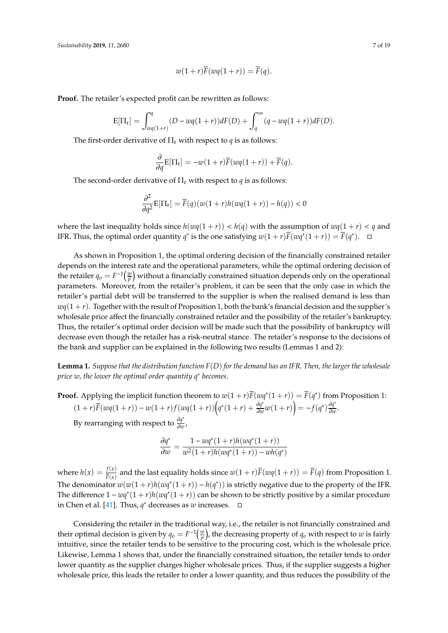$$
w(1+r)\overline{F}(wq(1+r)) = \overline{F}(q).
$$

**Proof.** The retailer's expected profit can be rewritten as follows:

$$
E[\Pi_r] = \int_{wq(1+r)}^q (D - wq(1+r))dF(D) + \int_q^{\infty} (q - wq(1+r))dF(D).
$$

The first-order derivative of  $\Pi_r$  with respect to *q* is as follows:

$$
\frac{\partial}{\partial q} \mathbf{E}[\Pi_r] = -w(1+r)\overline{F}(wq(1+r)) + \overline{F}(q).
$$

The second-order derivative of  $\Pi_r$  with respect to *q* is as follows:

$$
\frac{\partial^2}{\partial q^2} \mathbf{E}[\Pi_{\mathbf{r}}] = \overline{F}(q)(w(1+r)h(wq(1+r)) - h(q)) < 0
$$

where the last inequality holds since  $h(wq(1 + r)) < h(q)$  with the assumption of  $wq(1 + r) < q$  and IFR. Thus, the optimal order quantity *q*<sup>∗</sup> is the one satisfying  $w(1+r)\overline{F}(w\overline{q}^*(1+r)) = \overline{F}(q^*)$ . □

As shown in Proposition 1, the optimal ordering decision of the financially constrained retailer depends on the interest rate and the operational parameters, while the optimal ordering decision of the retailer  $q_o = F^{-1}(\frac{w}{p})$  without a financially constrained situation depends only on the operational parameters. Moreover, from the retailer's problem, it can be seen that the only case in which the retailer's partial debt will be transferred to the supplier is when the realised demand is less than  $wq(1 + r)$ . Together with the result of Proposition 1, both the bank's financial decision and the supplier's wholesale price affect the financially constrained retailer and the possibility of the retailer's bankruptcy. Thus, the retailer's optimal order decision will be made such that the possibility of bankruptcy will decrease even though the retailer has a risk-neutral stance. The retailer's response to the decisions of the bank and supplier can be explained in the following two results (Lemmas 1 and 2):

**Lemma 1.** *Suppose that the distribution function F*(*D*) *for the demand has an IFR. Then, the larger the wholesale price w, the lower the optimal order quantity q*<sup>∗</sup> *becomes*.

**Proof.** Applying the implicit function theorem to  $w(1+r)\overline{F}(wq^*(1+r)) = \overline{F}(q^*)$  from Proposition 1:  $(1 + r)\bar{F}(wq(1+r)) - w(1+r)f(wq(1+r))\left(q^*(1+r) + \frac{\partial q^*}{\partial w^*}(1+r)\right)$  $\left(\frac{\partial q^*}{\partial w}w(1+r)\right) = -f(q^*)\frac{\partial q^*}{\partial w}$  $\frac{\partial q}{\partial w}$ .

By rearranging with respect to <sup>∂</sup>*<sup>q</sup>* ∗ ∂*w* ,

$$
\frac{\partial q^*}{\partial w} = \frac{1 - wq^*(1+r)h(wq^*(1+r))}{w^2(1+r)h(wq^*(1+r)) - wh(q^*)}
$$

where  $h(x) = \frac{f(x)}{\bar{F}(x)}$  $\frac{f(x)}{F(x)}$  and the last equality holds since  $w(1 + r)F(wq(1 + r)) = F(q)$  from Proposition 1. The denominator  $w(w(1+r)h(wq^*(1+r)) - h(q^*))$  is strictly negative due to the property of the IFR. The difference  $1 - wq^*(1+r)h(wq^*(1+r))$  can be shown to be strictly positive by a similar procedure in Chen et al. [\[41\]](#page-18-23). Thus,  $q^*$  decreases as *w* increases.  $□$ 

Considering the retailer in the traditional way, i.e., the retailer is not financially constrained and their optimal decision is given by  $q_o = F^{-1}(\frac{w}{p})$ , the decreasing property of  $q_o$  with respect to *w* is fairly intuitive, since the retailer tends to be sensitive to the procuring cost, which is the wholesale price. Likewise, Lemma 1 shows that, under the financially constrained situation, the retailer tends to order lower quantity as the supplier charges higher wholesale prices. Thus, if the supplier suggests a higher wholesale price, this leads the retailer to order a lower quantity, and thus reduces the possibility of the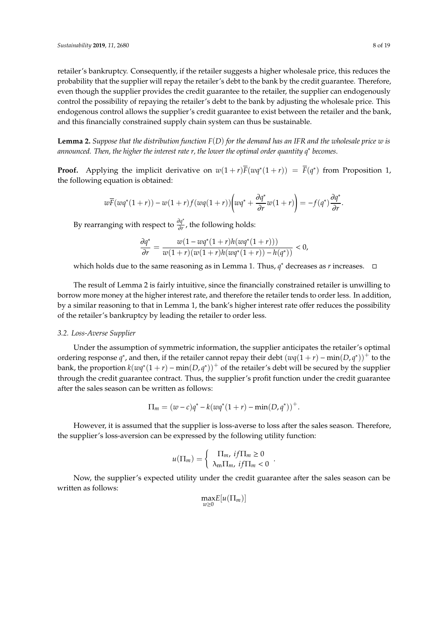retailer's bankruptcy. Consequently, if the retailer suggests a higher wholesale price, this reduces the probability that the supplier will repay the retailer's debt to the bank by the credit guarantee. Therefore, even though the supplier provides the credit guarantee to the retailer, the supplier can endogenously control the possibility of repaying the retailer's debt to the bank by adjusting the wholesale price. This endogenous control allows the supplier's credit guarantee to exist between the retailer and the bank, and this financially constrained supply chain system can thus be sustainable.

**Lemma 2.** *Suppose that the distribution function F*(*D*) *for the demand has an IFR and the wholesale price w is announced. Then, the higher the interest rate r, the lower the optimal order quantity q*<sup>∗</sup> *becomes*.

**Proof.** Applying the implicit derivative on  $w(1+r)\overline{F}(wq^*(1+r)) = \overline{F}(q^*)$  from Proposition 1, the following equation is obtained:

$$
w\overline{F}(wq^*(1+r)) - w(1+r)f(wq(1+r))\left(wq^* + \frac{\partial q^*}{\partial r}w(1+r)\right) = -f(q^*)\frac{\partial q^*}{\partial r}.
$$

By rearranging with respect to <sup>∂</sup>*<sup>q</sup>* ∗  $\frac{\partial q}{\partial r}$ , the following holds:

$$
\frac{\partial q^*}{\partial r} = \frac{w(1 - wq^*(1+r)h(wq^*(1+r)))}{w(1+r)(w(1+r)h(wq^*(1+r)) - h(q^*))} < 0,
$$

which holds due to the same reasoning as in Lemma 1. Thus, *q* <sup>∗</sup> decreases as *r* increases.

The result of Lemma 2 is fairly intuitive, since the financially constrained retailer is unwilling to borrow more money at the higher interest rate, and therefore the retailer tends to order less. In addition, by a similar reasoning to that in Lemma 1, the bank's higher interest rate offer reduces the possibility of the retailer's bankruptcy by leading the retailer to order less.

#### *3.2. Loss-Averse Supplier*

Under the assumption of symmetric information, the supplier anticipates the retailer's optimal ordering response  $q^*$ , and then, if the retailer cannot repay their debt  $(wq(1+r) - min(D, q^*))^+$  to the bank, the proportion  $k(wq^*(1+r) - min(D,q^*))^+$  of the retailer's debt will be secured by the supplier through the credit guarantee contract. Thus, the supplier's profit function under the credit guarantee after the sales season can be written as follows:

$$
\Pi_m = (w - c)q^* - k(wq^*(1+r) - \min(D, q^*))^+.
$$

However, it is assumed that the supplier is loss-averse to loss after the sales season. Therefore, the supplier's loss-aversion can be expressed by the following utility function:

$$
u(\Pi_m) = \begin{cases} \Pi_m, & if \Pi_m \ge 0 \\ \lambda_m \Pi_m, & if \Pi_m < 0 \end{cases}
$$

.

Now, the supplier's expected utility under the credit guarantee after the sales season can be written as follows:

$$
\max_{w\geq 0}E[u(\Pi_m)]
$$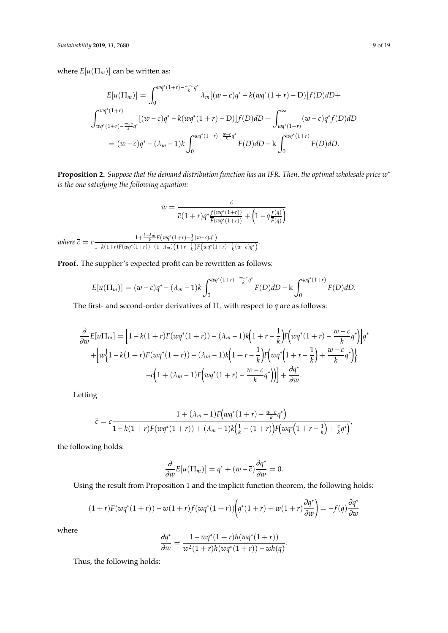where  $E[u(\Pi_m)]$  can be written as:

$$
E[u(\Pi_m)] = \int_0^{wq^*(1+r) - \frac{w-c}{k}q^*} \lambda_m[(w-c)q^* - k(wq^*(1+r) - D)]f(D) dD +
$$
  

$$
\int_{wq^*(1+r) - \frac{w-c}{k}q^*}^{wq^*(1+r)} [(w-c)q^* - k(wq^*(1+r) - D)]f(D) dD + \int_{wq^*(1+r)}^{\infty} (w-c)q^*f(D) dD
$$
  

$$
= (w-c)q^* - (\lambda_m - 1)k \int_0^{wq^*(1+r) - \frac{w-c}{k}q^*} F(D) dD - k \int_0^{wq^*(1+r)} F(D) dD.
$$

**Proposition 2.** *Suppose that the demand distribution function has an IFR. Then, the optimal wholesale price w* ∗ *is the one satisfying the following equation:*

$$
w = \frac{\overline{c}}{\overline{c}(1+r)q^* \frac{f(wq^*(1+r))}{\overline{F}(wq^*(1+r))} + \left(1 - q \frac{f(q)}{\overline{F}(q)}\right)}
$$

*where*  $\bar{c} = c \frac{1 + \frac{1-\lambda_m}{k} F(wq^*(1+r) - \frac{1}{k}(w-c)q^*)}{\frac{1}{k} F(wq^*(1+r) - \frac{1}{k}w-c)q^*(1+r)}$  $\frac{1}{1-k(1+r)F(wq^{*}(1+r))-(1-\lambda_m)\left(1+r-\frac{1}{k}\right)F(wq^{*}(1+r)-\frac{1}{k}(w-c)q^{*}\right)}$ .

**Proof.** The supplier's expected profit can be rewritten as follows:

$$
E[u(\Pi_m)] = (w-c)q^* - (\lambda_m - 1)k \int_0^{wq^*(1+r) - \frac{w-c}{k}q^*} F(D) dD - k \int_0^{wq^*(1+r)} F(D) dD.
$$

The first- and second-order derivatives of  $\Pi_r$  with respect to  $q$  are as follows:

$$
\frac{\partial}{\partial w}E[u\Pi_m] = \left[1 - k(1+r)F(wq^*(1+r)) - (\lambda_m - 1)k\left(1 + r - \frac{1}{k}\right)F\left(wq^*(1+r) - \frac{w-c}{k}q^*\right)\right]q^* + \left[w\left(1 - k(1+r)F(wq^*(1+r)) - (\lambda_m - 1)k\left(1 + r - \frac{1}{k}\right)F\left(wq^*\left(1+r - \frac{1}{k}\right) + \frac{w-c}{k}q^*\right)\right)\right] - c\left(1 + (\lambda_m - 1)F\left(wq^*(1+r) - \frac{w-c}{k}q^*\right)\right)\right] + \frac{\partial q^*}{\partial w}.
$$

Letting

$$
\bar{c} = c \frac{1 + (\lambda_m - 1)F(wq^*(1+r) - \frac{w-c}{k}q^*)}{1 - k(1+r)F(wq^*(1+r)) + (\lambda_m - 1)k(\frac{1}{k} - (1+r))F(wq^*(1+r - \frac{1}{k}) + \frac{c}{k}q^*)'}
$$

the following holds:

$$
\frac{\partial}{\partial w}E[u(\Pi_m)] = q^* + (w - \overline{c})\frac{\partial q^*}{\partial w} = 0.
$$

Using the result from Proposition 1 and the implicit function theorem, the following holds:

$$
(1+r)\overline{F}(wq^*(1+r)) - w(1+r)f(wq^*(1+r))\left(q^*(1+r) + w(1+r)\frac{\partial q^*}{\partial w}\right) = -f(q)\frac{\partial q^*}{\partial w}
$$

where

$$
\frac{\partial q^*}{\partial w} = \frac{1 - wq^*(1+r)h(wq^*(1+r))}{w^2(1+r)h(wq^*(1+r)) - wh(q)}.
$$

Thus, the following holds: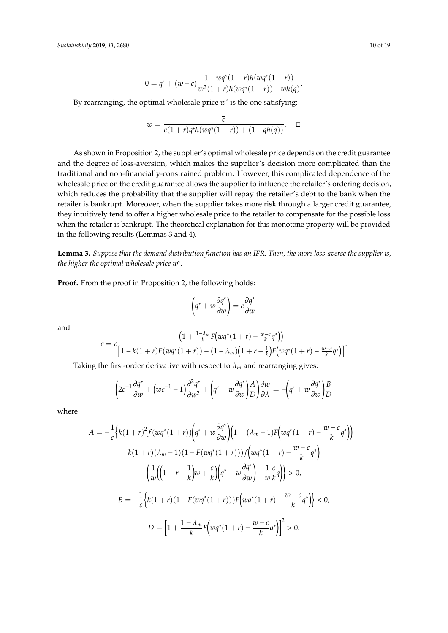$$
0 = q^* + (w - \overline{c}) \frac{1 - wq^*(1+r)h(wq^*(1+r))}{w^2(1+r)h(wq^*(1+r)) - wh(q)}.
$$

By rearranging, the optimal wholesale price *w* ∗ is the one satisfying:

$$
w = \frac{\overline{c}}{\overline{c}(1+r)q^*h(wq^*(1+r)) + (1 - qh(q))}.
$$

As shown in Proposition 2, the supplier's optimal wholesale price depends on the credit guarantee and the degree of loss-aversion, which makes the supplier's decision more complicated than the traditional and non-financially-constrained problem. However, this complicated dependence of the wholesale price on the credit guarantee allows the supplier to influence the retailer's ordering decision, which reduces the probability that the supplier will repay the retailer's debt to the bank when the retailer is bankrupt. Moreover, when the supplier takes more risk through a larger credit guarantee, they intuitively tend to offer a higher wholesale price to the retailer to compensate for the possible loss when the retailer is bankrupt. The theoretical explanation for this monotone property will be provided in the following results (Lemmas 3 and 4).

**Lemma 3.** *Suppose that the demand distribution function has an IFR. Then, the more loss-averse the supplier is, the higher the optimal wholesale price w*<sup>∗</sup> *.*

**Proof.** From the proof in Proposition 2, the following holds:

$$
\left(q^* + w\frac{\partial q^*}{\partial w}\right) = \overline{c}\frac{\partial q^*}{\partial w}
$$

and

$$
\bar{c} = c \frac{\left(1 + \frac{1 - \lambda_m}{k} F\left(wq^*(1+r) - \frac{w-c}{k}q^*\right)\right)}{\left[1 - k(1+r)F\left(wq^*(1+r)\right) - (1 - \lambda_m)\left(1 + r - \frac{1}{k}\right)F\left(wq^*(1+r) - \frac{w-c}{k}q^*\right)\right]}.
$$

Taking the first-order derivative with respect to  $\lambda_m$  and rearranging gives:

$$
\left(2\overline{c}^{-1}\frac{\partial q^*}{\partial w} + \left(w\overline{c}^{-1} - 1\right)\frac{\partial^2 q^*}{\partial w^2} + \left(q^* + w\frac{\partial q^*}{\partial w}\right)\frac{A}{D}\right)\frac{\partial w}{\partial \lambda} = -\left(q^* + w\frac{\partial q^*}{\partial w}\right)\frac{B}{D}
$$

where

$$
A = -\frac{1}{c} \Big\{ k(1+r)^2 f(wq^*(1+r)) \Big( q^* + w \frac{\partial q^*}{\partial w} \Big) \Big( 1 + (\lambda_m - 1) F \Big( wq^*(1+r) - \frac{w-c}{k} q^* \Big) \Big) +
$$
  
\n
$$
k(1+r)(\lambda_m - 1)(1 - F(wq^*(1+r))) f \Big( wq^*(1+r) - \frac{w-c}{k} q^* \Big)
$$
  
\n
$$
\Big( \frac{1}{w} \Big( \Big( 1 + r - \frac{1}{k} \Big) w + \frac{c}{k} \Big) \Big( q^* + w \frac{\partial q^*}{\partial w} \Big) - \frac{1}{w} \frac{c}{k} q \Big) \Big\} > 0,
$$
  
\n
$$
B = -\frac{1}{c} \Big\{ k(1+r)(1 - F(wq^*(1+r))) F \Big( wq^*(1+r) - \frac{w-c}{k} q^* \Big) \Big\} < 0,
$$
  
\n
$$
D = \Big[ 1 + \frac{1 - \lambda_m}{k} F \Big( wq^*(1+r) - \frac{w-c}{k} q^* \Big) \Big]^2 > 0.
$$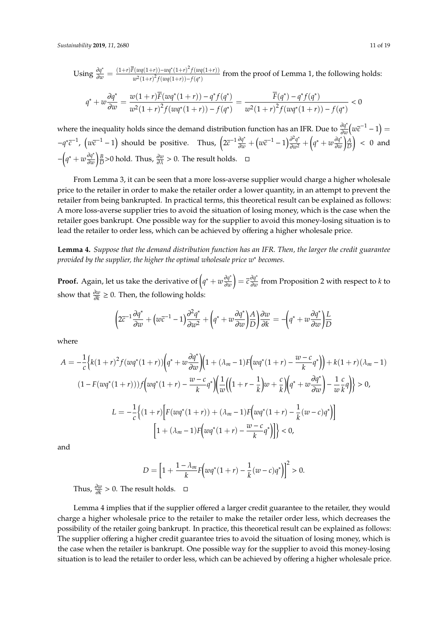Using  $\frac{\partial q^*}{\partial w} = \frac{(1+r)\overline{F}(wq(1+r)) - wq^*(1+r)^2 f(wq(1+r))}{w^2(1+r)^2 f(wq(1+r)) - f(q^*)}$  $\frac{w}{w^2(1+r)^2} f(wq(1+r)) - f(q^*)$  from the proof of Lemma 1, the following holds:

$$
q^* + w \frac{\partial q^*}{\partial w} = \frac{w(1+r)\overline{F}(wq^*(1+r)) - q^*f(q^*)}{w^2(1+r)^2f(wq^*(1+r)) - f(q^*)} = \frac{\overline{F}(q^*) - q^*f(q^*)}{w^2(1+r)^2f(wq^*(1+r)) - f(q^*)} < 0
$$

where the inequality holds since the demand distribution function has an IFR. Due to  $\frac{\partial q^*}{\partial u}$  $\frac{\partial q^*}{\partial w}(w\overline{c}^{-1}-1)=$  $-q^* \bar{c}^{-1}$ ,  $(w\bar{c}^{-1}-1)$  should be positive. Thus,  $\left(2\bar{c}^{-1}\frac{\partial q^*}{\partial w} + \left(w\bar{c}^{-1}-1\right)\frac{\partial^2 q^*}{\partial w^2} + \left(q^* + w\frac{\partial q^*}{\partial w}\right)\right)$ ∂*w A D*  $\Big)$  < 0 and −  $\left( q^* + w \frac{\partial q^*}{\partial w} \right)$ ∂*w*  $\frac{\partial p}{\partial \lambda}$  > 0 hold. Thus,  $\frac{\partial w}{\partial \lambda}$  > 0. The result holds. □

From Lemma 3, it can be seen that a more loss-averse supplier would charge a higher wholesale price to the retailer in order to make the retailer order a lower quantity, in an attempt to prevent the retailer from being bankrupted. In practical terms, this theoretical result can be explained as follows: A more loss-averse supplier tries to avoid the situation of losing money, which is the case when the retailer goes bankrupt. One possible way for the supplier to avoid this money-losing situation is to lead the retailer to order less, which can be achieved by offering a higher wholesale price.

**Lemma 4.** *Suppose that the demand distribution function has an IFR. Then, the larger the credit guarantee provided by the supplier, the higher the optimal wholesale price w*<sup>∗</sup> *becomes.*

**Proof.** Again, let us take the derivative of  $(q^* + w \frac{\partial q^*}{\partial w})$ ∂*w*  $= \overline{c} \frac{\partial q^*}{\partial w^*}$ ∂*w* from Proposition 2 with respect to *k* to show that  $\frac{\partial w}{\partial k}$  ≥ 0. Then, the following holds:

$$
\left(2\overline{c}^{-1}\frac{\partial q^*}{\partial w} + \left(w\overline{c}^{-1} - 1\right)\frac{\partial^2 q^*}{\partial w^2} + \left(q^* + w\frac{\partial q^*}{\partial w}\right)\frac{A}{D}\right)\frac{\partial w}{\partial k} = -\left(q^* + w\frac{\partial q^*}{\partial w}\right)\frac{L}{D}
$$

where

$$
A = -\frac{1}{c} \Big\{ k(1+r)^2 f(wq^*(1+r)) \Big( q^* + w \frac{\partial q^*}{\partial w} \Big) \Big( 1 + (\lambda_m - 1) F \Big( wq^*(1+r) - \frac{w-c}{k} q^* \Big) \Big) + k(1+r)(\lambda_m - 1)
$$
  

$$
(1 - F(wq^*(1+r))) f \Big( wq^*(1+r) - \frac{w-c}{k} q^* \Big) \Big( \frac{1}{w} \Big( \Big( 1 + r - \frac{1}{k} \Big) w + \frac{c}{k} \Big) \Big( q^* + w \frac{\partial q^*}{\partial w} \Big) - \frac{1}{w} \frac{c}{k} q \Big) \Big\} > 0,
$$
  

$$
L = -\frac{1}{c} \Big\{ (1+r) \Big[ F(wq^*(1+r)) + (\lambda_m - 1) F \Big( wq^*(1+r) - \frac{1}{k} (w-c) q^* \Big) \Big] - \Big[ 1 + (\lambda_m - 1) F \Big( wq^*(1+r) - \frac{w-c}{k} q^* \Big) \Big] \Big\} < 0,
$$

and

$$
D = \left[1 + \frac{1 - \lambda_m}{k} F\left(wq^*(1+r) - \frac{1}{k}(w-c)q^*\right)\right]^2 > 0.
$$

Thus,  $\frac{\partial w}{\partial k} > 0$ . The result holds.  $□$ 

Lemma 4 implies that if the supplier offered a larger credit guarantee to the retailer, they would charge a higher wholesale price to the retailer to make the retailer order less, which decreases the possibility of the retailer going bankrupt. In practice, this theoretical result can be explained as follows: The supplier offering a higher credit guarantee tries to avoid the situation of losing money, which is the case when the retailer is bankrupt. One possible way for the supplier to avoid this money-losing situation is to lead the retailer to order less, which can be achieved by offering a higher wholesale price.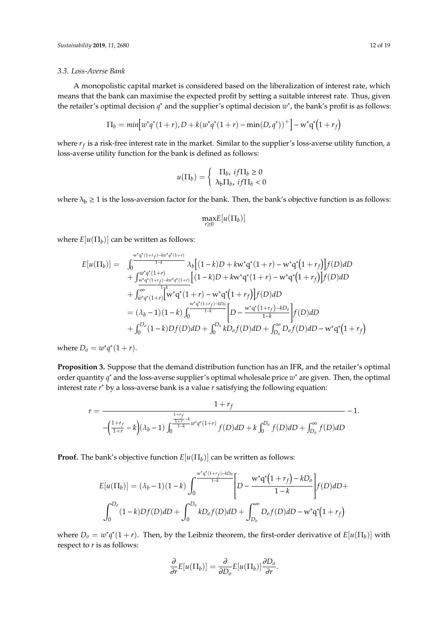### *3.3. Loss-Averse Bank*

A monopolistic capital market is considered based on the liberalization of interest rate, which means that the bank can maximise the expected profit by setting a suitable interest rate. Thus, given the retailer's optimal decision *q*<sup>∗</sup> and the supplier's optimal decision *w*<sup>∗</sup>, the bank's profit is as follows:

$$
\Pi_b = min \Big[ w^* q^* (1+r), D + k (w^* q^* (1+r) - min(D, q^*))^+ \Big] - w^* q^* (1+r_f)
$$

where *r<sup>f</sup>* is a risk-free interest rate in the market. Similar to the supplier's loss-averse utility function, a loss-averse utility function for the bank is defined as follows:

$$
u(\Pi_b) = \begin{cases} \Pi_b, \, if \Pi_b \ge 0\\ \lambda_b \Pi_b, \, if \Pi_b < 0 \end{cases}
$$

where  $\lambda_b \ge 1$  is the loss-aversion factor for the bank. Then, the bank's objective function is as follows:

$$
\max_{r\geq 0}E[u(\Pi_b)]
$$

where  $E[u(\Pi_b)]$  can be written as follows:

$$
E[u(\Pi_b)] = \int_0^{\frac{w^*q^*(1+r_f)-kw^*q^*(1+r)}{1-k}} \lambda_b [(1-k)D + kw^*q^*(1+r) - w^*q^*(1+r_f)]f(D) dD + \int_{\frac{w^*q^*(1+r_f)-kw^*q^*(1+r)}{1-k}}^{\frac{w^*q^*(1+r)}{1-k}} [(1-k)D + kw^*q^*(1+r) - w^*q^*(1+r_f)]f(D) dD + \int_{w^*q^*(1+r)}^{\infty} \lambda_b [(1-k)D + kw^*q^*(1+r) - w^*q^*(1+r_f)]f(D) dD = (\lambda_b - 1)(1-k) \int_0^{\frac{w^*q^*(1+r_f)-kD_0}{1-k}} [D - \frac{w^*q^*(1+r_f)-kD_0}{1-k}]f(D) dD + \int_0^{D_0} (1-k)Df(D) dD + \int_0^{D_0} kD_0 f(D) dD + \int_{D_0}^{\infty} D_0 f(D) dD - w^*q^*(1+r_f)
$$

where  $D_0 = w^* q^* (1 + r)$ .

**Proposition 3.** Suppose that the demand distribution function has an IFR, and the retailer's optimal order quantity *q*<sup>\*</sup> and the loss-averse supplier's optimal wholesale price w<sup>\*</sup> are given. Then, the optimal interest rate *r* <sup>∗</sup> by a loss-averse bank is a value *r* satisfying the following equation:

$$
r = \frac{1 + r_f}{-\left(\frac{1+r_f}{1+r} - k\right)(\lambda_b - 1) \int_0^{\frac{1+r_f}{1+k} - k} w^* q^*(1+r)} f(D) dD + k \int_0^{D_o} f(D) dD + \int_{D_o}^{\infty} f(D) dD + k \int_0^{\infty} f(D) dD + k \int_0^{\infty} f(D) dD + k \int_0^{\infty} f(D) dD + k \int_0^{\infty} f(D) dD + k \int_0^{\infty} f(D) dD + k \int_0^{\infty} f(D) dD + k \int_0^{\infty} f(D) dD + k \int_0^{\infty} f(D) dD + k \int_0^{\infty} f(D) dD + k \int_0^{\infty} f(D) dD + k \int_0^{\infty} f(D) dD + k \int_0^{\infty} f(D) dD + k \int_0^{\infty} f(D) dD + k \int_0^{\infty} f(D) dD + k \int_0^{\infty} f(D) dD + k \int_0^{\infty} f(D) dD + k \int_0^{\infty} f(D) dD + k \int_0^{\infty} f(D) dD + k \int_0^{\infty} f(D) dD + k \int_0^{\infty} f(D) dD + k \int_0^{\infty} f(D) dD + k \int_0^{\infty} f(D) dD + k \int_0^{\infty} f(D) dD + k \int_0^{\infty} f(D) dD + k \int_0^{\infty} f(D) dD + k \int_0^{\infty} f(D) dD + k \int_0^{\infty} f(D) dD + k \int_0^{\infty} f(D) dD + k \int_0^{\infty} f(D) dD + k \int_0^{\infty} f(D) dD + k \int_0^{\infty} f(D) dD + k \int_0^{\infty} f(D) dD + k \int_0^{\infty} f(D) dD + k \int_0^{\infty} f(D) dD + k \int_0^{\infty} f(D) dD + k \int_0^{\infty} f(D) dD + k \int_0^{\infty} f(D) dD + k \int_0^{\infty} f(D) dD + k \int_0^{\infty} f(D) dD + k \int_0^{\infty} f(D) dD + k \int_0^{\infty} f(D) dD + k \int_
$$

**Proof.** The bank's objective function  $E[u(\Pi_b)]$  can be written as follows:

$$
E[u(\Pi_b)] = (\lambda_b - 1)(1 - k) \int_0^{\frac{w^*q^*(1 + r_f) - kD_0}{1 - k}} \left[ D - \frac{w^*q^*(1 + r_f) - kD_0}{1 - k} \right] f(D) dD + \int_0^{D_0} (1 - k) Df(D) dD + \int_0^{D_0} kD_0 f(D) dD + \int_{D_0}^{\infty} D_0 f(D) dD - w^*q^*(1 + r_f)
$$

where  $D_0 = w^*q^*(1+r)$ . Then, by the Leibniz theorem, the first-order derivative of  $E[u(\Pi_b)]$  with respect to *r* is as follows:

$$
\frac{\partial}{\partial r}E[u(\Pi_b)] = \frac{\partial}{\partial D_o}E[u(\Pi_b)]\frac{\partial D_o}{\partial r}.
$$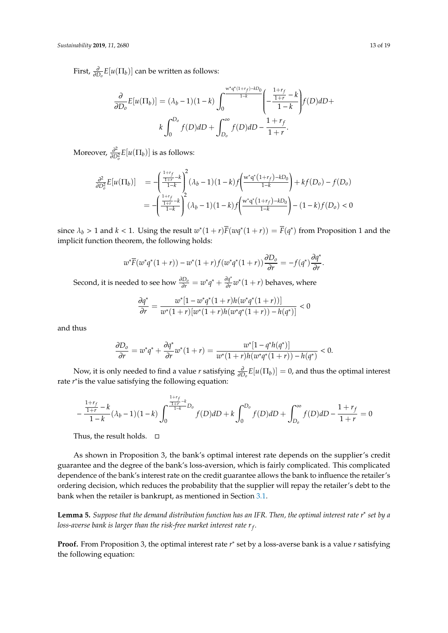First,  $\frac{\partial}{\partial D_0} E[u(\Pi_b)]$  can be written as follows:

$$
\frac{\partial}{\partial D_o} E[u(\Pi_b)] = (\lambda_b - 1)(1 - k) \int_0^{\infty} \frac{e^{u^* q^* (1 + r_f) - kD_0}}{1 - k} \left( -\frac{\frac{1 + r_f}{1 + r} - k}{1 - k} \right) f(D) dD + k \int_0^{D_o} f(D) dD + \int_{D_o}^{\infty} f(D) dD - \frac{1 + r_f}{1 + r}.
$$

Moreover,  $\frac{\partial^2}{\partial D}$  $\frac{\partial^2}{\partial D_0^2} E[u(\Pi_b)]$  is as follows:

$$
\frac{\partial^2}{\partial D_o^2} E[u(\Pi_b)] = -\left(\frac{\frac{1+r_f}{1+k} - k}{1-k}\right)^2 (\lambda_b - 1)(1-k) f\left(\frac{w^* q^* (1+r_f) - kD_0}{1-k}\right) + k f(D_o) - f(D_o)
$$

$$
= -\left(\frac{\frac{1+r_f}{1+k} - k}{1-k}\right)^2 (\lambda_b - 1)(1-k) f\left(\frac{w^* q^* (1+r_f) - kD_0}{1-k}\right) - (1-k) f(D_o) < 0
$$

since  $\lambda_b > 1$  and  $k < 1$ . Using the result  $w^*(1+r)\overline{F}(wq^*(1+r)) = \overline{F}(q^*)$  from Proposition 1 and the implicit function theorem, the following holds:

$$
w^* \overline{F}(w^* q^*(1+r)) - w^*(1+r) f(w^* q^*(1+r)) \frac{\partial D_o}{\partial r} = -f(q^*) \frac{\partial q^*}{\partial r}
$$

Second, it is needed to see how  $\frac{\partial D_o}{\partial r} = w^*q^* + \frac{\partial q^*}{\partial r}$  $\frac{\partial q^*}{\partial r} w^*(1+r)$  behaves, where

$$
\frac{\partial q^*}{\partial r} = \frac{w^*[1-w^*q^*(1+r)h(w^*q^*(1+r))]}{w^*(1+r)[w^*(1+r)h(w^*q^*(1+r))-h(q^*)]} < 0
$$

and thus

$$
\frac{\partial D_o}{\partial r} = w^* q^* + \frac{\partial q^*}{\partial r} w^* (1+r) = \frac{w^* [1-q^* h(q^*)]}{w^* (1+r) h(w^* q^* (1+r)) - h(q^*)} < 0.
$$

Now, it is only needed to find a value *r* satisfying  $\frac{\partial}{\partial D_o}E[u(\Pi_b)] = 0$ , and thus the optimal interest rate *r* ∗ is the value satisfying the following equation:

$$
-\frac{\frac{1+r_f}{1+r} - k}{1-k} (\lambda_b - 1)(1-k) \int_0^{\frac{1+r_f}{1+k} - k} f(D) dD + k \int_0^{D_0} f(D) dD + \int_{D_0}^{\infty} f(D) dD - \frac{1+r_f}{1+r} = 0
$$

Thus, the result holds.  $\Box$ 

As shown in Proposition 3, the bank's optimal interest rate depends on the supplier's credit guarantee and the degree of the bank's loss-aversion, which is fairly complicated. This complicated dependence of the bank's interest rate on the credit guarantee allows the bank to influence the retailer's ordering decision, which reduces the probability that the supplier will repay the retailer's debt to the bank when the retailer is bankrupt, as mentioned in Section [3.1.](#page-5-0)

**Lemma 5.** *Suppose that the demand distribution function has an IFR. Then, the optimal interest rate r* ∗ *set by a loss-averse bank is larger than the risk-free market interest rate r<sup>f</sup> .*

**Proof.** From Proposition 3, the optimal interest rate  $r^*$  set by a loss-averse bank is a value  $r$  satisfying the following equation:

.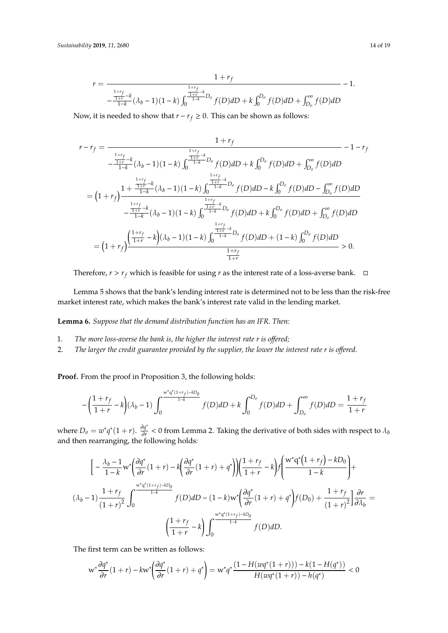$$
r = \frac{1 + r_f}{-\frac{\frac{1+r_f}{1+r} - k}{1-k} (\lambda_b - 1)(1-k) \int_0^{\frac{1+r_f}{1+k} - b} f(D) dD + k \int_0^{D_0} f(D) dD + \int_{D_0}^{\infty} f(D) dD} - 1.
$$

Now, it is needed to show that  $r - r_f \geq 0$ . This can be shown as follows:

$$
r-r_{f} = \frac{1+r_{f}}{-\frac{1+r}{1-k}} \frac{1+r_{f}}{(\lambda_{b}-1)(1-k) \int_{0}^{\frac{1+r}{1-k}} D_{o} f(D) dD + k \int_{0}^{D_{o}} f(D) dD + \int_{D_{o}}^{\infty} f(D) dD}{\frac{1+r_{f}}{1-k}} = (1+r_{f}) \frac{1+\frac{1+r_{f}}{1-k} - k}{1-k} (\lambda_{b}-1)(1-k) \int_{0}^{\frac{1+r_{f}}{1-k}} D_{o} f(D) dD - k \int_{0}^{D_{o}} f(D) dD - \int_{D_{o}}^{\infty} f(D) dD}{-\frac{1+r_{f}}{1-k}} - \frac{1+r_{f}}{1-k} (\lambda_{b}-1)(1-k) \int_{0}^{\frac{1+r_{f}}{1-k}} D_{o} f(D) dD + k \int_{0}^{D_{o}} f(D) dD + \int_{D_{o}}^{\infty} f(D) dD}{\frac{1+r_{f}}{1-k}} = (1+r_{f}) \frac{\left(\frac{1+r_{f}}{1+r} - k\right)(\lambda_{b}-1)(1-k) \int_{0}^{\frac{1+r_{f}}{1-k}} D_{o} f(D) dD + (1-k) \int_{0}^{D_{o}} f(D) dD}{\frac{1+r_{f}}{1+r}} = 0.
$$

Therefore,  $r > r_f$  which is feasible for using  $r$  as the interest rate of a loss-averse bank.  $\Box$ 

Lemma 5 shows that the bank's lending interest rate is determined not to be less than the risk-free market interest rate, which makes the bank's interest rate valid in the lending market.

**Lemma 6.** *Suppose that the demand distribution function has an IFR. Then:*

- 1. *The more loss-averse the bank is, the higher the interest rate r is o*ff*ered;*
- 2. The larger the credit guarantee provided by the supplier, the lower the interest rate r is offered.

**Proof.** From the proof in Proposition 3, the following holds:

$$
-\left(\frac{1+r_f}{1+r} - k\right)(\lambda_b - 1) \int_0^{\frac{w^*q^*(1+r_f)-kD_0}{1-k}} f(D) dD + k \int_0^{D_0} f(D) dD + \int_{D_0}^{\infty} f(D) dD = \frac{1+r_f}{1+r}
$$

where  $D_0 = w^*q^*(1+r)$ .  $\frac{\partial q^*}{\partial r}$  $\frac{\partial q}{\partial r}$  < 0 from Lemma 2. Taking the derivative of both sides with respect to  $\lambda_b$ and then rearranging, the following holds:

$$
\left[-\frac{\lambda_b - 1}{1 - k} \mathbf{w}^* \left(\frac{\partial q^*}{\partial r} (1 + r) - k \left(\frac{\partial q^*}{\partial r} (1 + r) + q^*\right)\right) \left(\frac{1 + r_f}{1 + r} - k\right) f\left(\frac{\mathbf{w}^* q^* (1 + r_f) - kD_0}{1 - k}\right) + \left(\lambda_b - 1\right) \frac{1 + r_f}{(1 + r)^2} \int_0^{\frac{\mathbf{w}^* q^* (1 + r_f) - kD_0}{1 - k}} f(D) dD - (1 - k) \mathbf{w}^* \left(\frac{\partial q^*}{\partial r} (1 + r) + q^*\right) f(D_0) + \frac{1 + r_f}{(1 + r)^2} \left|\frac{\partial r}{\partial \lambda_b}\right| = \left(\frac{1 + r_f}{1 + r} - k\right) \int_0^{\frac{\mathbf{w}^* q^* (1 + r_f) - kD_0}{1 - k}} f(D) dD.
$$

The first term can be written as follows:

$$
\mathbf{w}^*\frac{\partial \boldsymbol{q}^*}{\partial r}(1+r)-k \mathbf{w}^*\!\!\left(\frac{\partial \boldsymbol{q}^*}{\partial r}(1+r)+\boldsymbol{q}^*\!\right)=\mathbf{w}^*\boldsymbol{q}^*\frac{\big(1-H(\boldsymbol{w}\boldsymbol{q}^*(1+r))\big)-k(1-H(\boldsymbol{q}^*)\big)}{H(\boldsymbol{w}\boldsymbol{q}^*(1+r))-h(\boldsymbol{q}^*)}<0
$$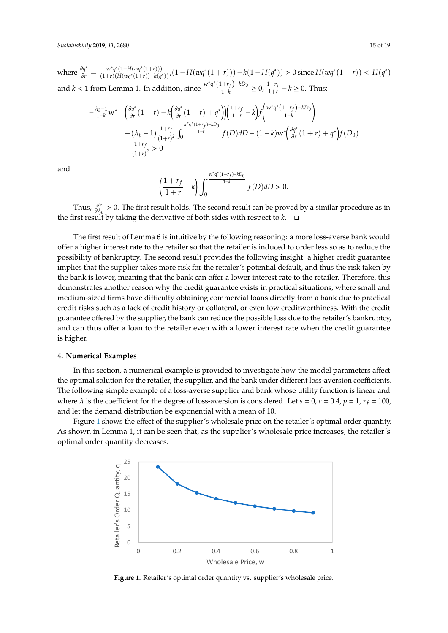where  $\frac{\partial q^*}{\partial r} = \frac{w^*q^*(1-H(wq^*(1+r)))}{(1+r)(H(wq^*(1+r))-h(q^*))}$ ,  $(1-H(wq^*(1+r))) - k(1-H(q^*)) > 0$  since  $H(wq^*(1+r)) < H(q^*)$ and *k* < 1 from Lemma 1. In addition, since  $\frac{w^*q^*(1+r_f)-kD_0}{1-k}$  $\frac{(-1+r_f)-kD_0}{1-k} \geq 0, \frac{1+r_f}{1+r_f}$  $\frac{1+r_f}{1+r}$  −  $k$  ≥ 0. Thus:

$$
-\frac{\lambda_b - 1}{1 - k} \mathbf{w}^* \quad \left( \frac{\partial q^*}{\partial r} (1 + r) - k \left( \frac{\partial q^*}{\partial r} (1 + r) + q^* \right) \right) \left( \frac{1 + r_f}{1 + r} - k \right) f \left( \frac{\mathbf{w}^* \mathbf{q}^* (1 + r_f) - k \mathbf{D}_0}{1 - k} \right) + (\lambda_b - 1) \frac{1 + r_f}{(1 + r)^2} \int_0^{\frac{\mathbf{w}^* \mathbf{q}^* (1 + r_f) - k \mathbf{D}_0}{1 - k}} f(D) dD - (1 - k) \mathbf{w}^* \left( \frac{\partial q^*}{\partial r} (1 + r) + q^* \right) f(D_0) + \frac{1 + r_f}{(1 + r)^2} > 0
$$

and

$$
\left(\frac{1+r_f}{1+r}-k\right)\int_0^{\frac{\mathbf{w}^*\mathbf{q}^*(1+r_f)-kD_0}{1-k}}f(D)dD>0.
$$

Thus,  $\frac{\partial r}{\partial \lambda_b} > 0$ . The first result holds. The second result can be proved by a similar procedure as in the first result by taking the derivative of both sides with respect to  $k$ .  $\Box$ 

The first result of Lemma 6 is intuitive by the following reasoning: a more loss-averse bank would offer a higher interest rate to the retailer so that the retailer is induced to order less so as to reduce the possibility of bankruptcy. The second result provides the following insight: a higher credit guarantee implies that the supplier takes more risk for the retailer's potential default, and thus the risk taken by the bank is lower, meaning that the bank can offer a lower interest rate to the retailer. Therefore, this demonstrates another reason why the credit guarantee exists in practical situations, where small and medium-sized firms have difficulty obtaining commercial loans directly from a bank due to practical credit risks such as a lack of credit history or collateral, or even low creditworthiness. With the credit guarantee offered by the supplier, the bank can reduce the possible loss due to the retailer's bankruptcy, and can thus offer a loan to the retailer even with a lower interest rate when the credit guarantee is higher.

#### <span id="page-14-0"></span>**4. Numerical Examples**

In this section, a numerical example is provided to investigate how the model parameters affect the optimal solution for the retailer, the supplier, and the bank under different loss-aversion coefficients. The following simple example of a loss-averse supplier and bank whose utility function is linear and where  $\lambda$  is the coefficient for the degree of loss-aversion is considered. Let  $s = 0$ ,  $c = 0.4$ ,  $p = 1$ ,  $r_f = 100$ , and let the demand distribution be exponential with a mean of 10.

<span id="page-14-1"></span>Figure [1](#page-14-1) shows the effect of the supplier's wholesale price on the retailer's optimal order quantity. As shown in Lemma 1, it can be seen that, as the supplier's wholesale price increases, the retailer's **Sustainability of 18 of 18 of 18 of 18 of 18 of 18 of 18 of 18 of 18 of 18 of 18 of 18 of 18 of 18 of 18 of 18 of 18 of 18 of 18 of 18 of 18 of 18 of 18 of 18 of 18 of 18 of 18 of 18 of 18 of 18 of 18 of 18 of 18 of 18 of** 



Figure 1. Retailer's optimal order quantity vs. supplier's wholesale price.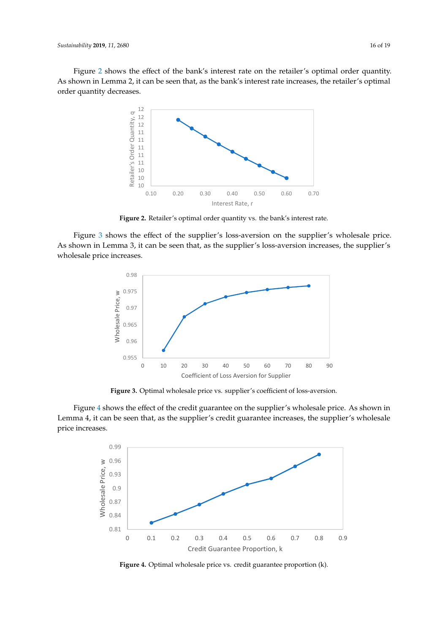<span id="page-15-0"></span>Fig[ur](#page-15-0)e 2 shows the effect of the bank's interest rate on the retailer's optimal order quantity. As shown in Lemma 2, it can be seen that, as the bank's interest rate increases, the retailer's optimal order quantity decreases. order quantity decreases.  $\frac{1}{2}$  decreases.



**Figure 2.** Retailer's optimal order quantity vs. the bank's interest rate. **Figure 2.** Retailer's optimal order quantity vs. the bank's interest rate.

<span id="page-15-1"></span> $F_1$  in I amma  $^2$  it can be seen that as the supplier's loss-aversion increases, the supplier As shown in Lemma 3, it can be seen that, as the supplier's loss-aversion increases, the supplier's<br>whaleads with increases wholesale price increases. wholesale price increases. wholesale price increases. Fig[ur](#page-15-1)e 3 shows the effect of the supplier's loss-aversion on the supplier's wholesale price.



**Figure 3.** Optimal wholesale price vs. supplier's coefficient of loss-aversion. Figure 3. Optimal wholesale price vs. supplier's coefficient of loss-aversion.

Figure [4](#page-15-2) shows the effect of the credit guarantee on the supplier's wholesale price. As shown in Lemma 4, it can be seen that, as the supplier's credit guarantee increases, the supplier's wholesale Lemma 4, it can be seen that, as the supplier's credit guarantee increases, the supplier's wholesale price increases. price increases.

<span id="page-15-2"></span>

**Figure 4.** Optimal wholesale price vs. credit guarantee proportion (k).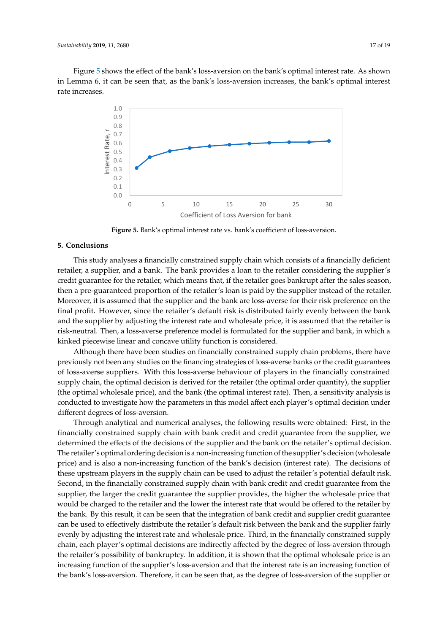<span id="page-16-1"></span>Figure [5](#page-16-1) shows the effect of the bank's loss-aversion on the bank's optimal interest rate. As shown in Lemma 6, it can be seen that, as the bank's loss-aversion increases, the bank's optimal interest rate increases.



Figure 5. Bank's optimal interest rate vs. bank's coefficient of loss-aversion.

### <span id="page-16-0"></span>**5. Conclusions**

This study analyses a financially constrained supply chain which consists of a financially deficient retailer, a supplier, and a bank. The bank provides a loan to the retailer considering the supplier's credit guarantee for the retailer, which means that, if the retailer goes bankrupt after the sales season, then a pre-guaranteed proportion of the retailer's loan is paid by the supplier instead of the retailer. Moreover, it is assumed that the supplier and the bank are loss-averse for their risk preference on the final profit. However, since the retailer's default risk is distributed fairly evenly between the bank and the supplier by adjusting the interest rate and wholesale price, it is assumed that the retailer is risk-neutral. Then, a loss-averse preference model is formulated for the supplier and bank, in which a kinked piecewise linear and concave utility function is considered.

Although there have been studies on financially constrained supply chain problems, there have previously not been any studies on the financing strategies of loss-averse banks or the credit guarantees of loss-averse suppliers. With this loss-averse behaviour of players in the financially constrained supply chain, the optimal decision is derived for the retailer (the optimal order quantity), the supplier (the optimal wholesale price), and the bank (the optimal interest rate). Then, a sensitivity analysis is conducted to investigate how the parameters in this model affect each player's optimal decision under different degrees of loss-aversion.

Through analytical and numerical analyses, the following results were obtained: First, in the financially constrained supply chain with bank credit and credit guarantee from the supplier, we determined the effects of the decisions of the supplier and the bank on the retailer's optimal decision. The retailer's optimal ordering decision is a non-increasing function of the supplier's decision (wholesale price) and is also a non-increasing function of the bank's decision (interest rate). The decisions of these upstream players in the supply chain can be used to adjust the retailer's potential default risk. Second, in the financially constrained supply chain with bank credit and credit guarantee from the supplier, the larger the credit guarantee the supplier provides, the higher the wholesale price that would be charged to the retailer and the lower the interest rate that would be offered to the retailer by the bank. By this result, it can be seen that the integration of bank credit and supplier credit guarantee can be used to effectively distribute the retailer's default risk between the bank and the supplier fairly evenly by adjusting the interest rate and wholesale price. Third, in the financially constrained supply chain, each player's optimal decisions are indirectly affected by the degree of loss-aversion through the retailer's possibility of bankruptcy. In addition, it is shown that the optimal wholesale price is an increasing function of the supplier's loss-aversion and that the interest rate is an increasing function of the bank's loss-aversion. Therefore, it can be seen that, as the degree of loss-aversion of the supplier or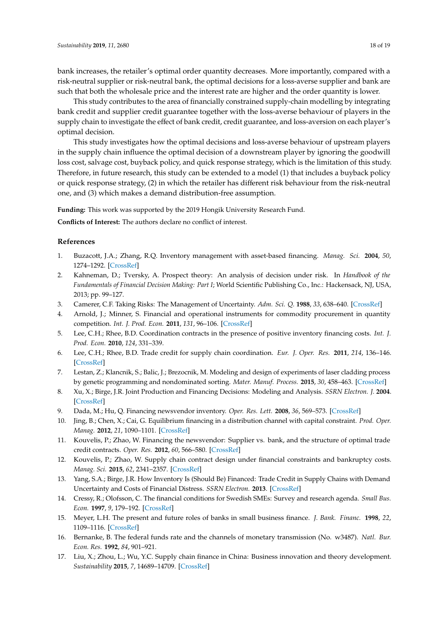bank increases, the retailer's optimal order quantity decreases. More importantly, compared with a risk-neutral supplier or risk-neutral bank, the optimal decisions for a loss-averse supplier and bank are such that both the wholesale price and the interest rate are higher and the order quantity is lower.

This study contributes to the area of financially constrained supply-chain modelling by integrating bank credit and supplier credit guarantee together with the loss-averse behaviour of players in the supply chain to investigate the effect of bank credit, credit guarantee, and loss-aversion on each player's optimal decision.

This study investigates how the optimal decisions and loss-averse behaviour of upstream players in the supply chain influence the optimal decision of a downstream player by ignoring the goodwill loss cost, salvage cost, buyback policy, and quick response strategy, which is the limitation of this study. Therefore, in future research, this study can be extended to a model (1) that includes a buyback policy or quick response strategy, (2) in which the retailer has different risk behaviour from the risk-neutral one, and (3) which makes a demand distribution-free assumption.

**Funding:** This work was supported by the 2019 Hongik University Research Fund.

**Conflicts of Interest:** The authors declare no conflict of interest.

#### **References**

- <span id="page-17-0"></span>1. Buzacott, J.A.; Zhang, R.Q. Inventory management with asset-based financing. *Manag. Sci.* **2004**, *50*, 1274–1292. [\[CrossRef\]](http://dx.doi.org/10.1287/mnsc.1040.0278)
- <span id="page-17-1"></span>2. Kahneman, D.; Tversky, A. Prospect theory: An analysis of decision under risk. In *Handbook of the Fundamentals of Financial Decision Making: Part I*; World Scientific Publishing Co., Inc.: Hackensack, NJ, USA, 2013; pp. 99–127.
- <span id="page-17-2"></span>3. Camerer, C.F. Taking Risks: The Management of Uncertainty. *Adm. Sci. Q.* **1988**, *33*, 638–640. [\[CrossRef\]](http://dx.doi.org/10.2307/2392652)
- <span id="page-17-3"></span>4. Arnold, J.; Minner, S. Financial and operational instruments for commodity procurement in quantity competition. *Int. J. Prod. Econ.* **2011**, *131*, 96–106. [\[CrossRef\]](http://dx.doi.org/10.1016/j.ijpe.2010.02.007)
- <span id="page-17-4"></span>5. Lee, C.H.; Rhee, B.D. Coordination contracts in the presence of positive inventory financing costs. *Int. J. Prod. Econ.* **2010**, *124*, 331–339.
- <span id="page-17-5"></span>6. Lee, C.H.; Rhee, B.D. Trade credit for supply chain coordination. *Eur. J. Oper. Res.* **2011**, *214*, 136–146. [\[CrossRef\]](http://dx.doi.org/10.1016/j.ejor.2011.04.004)
- <span id="page-17-6"></span>7. Lestan, Z.; Klancnik, S.; Balic, J.; Brezocnik, M. Modeling and design of experiments of laser cladding process by genetic programming and nondominated sorting. *Mater. Manuf. Process.* **2015**, *30*, 458–463. [\[CrossRef\]](http://dx.doi.org/10.1080/10426914.2014.973586)
- <span id="page-17-7"></span>8. Xu, X.; Birge, J.R. Joint Production and Financing Decisions: Modeling and Analysis. *SSRN Electron. J.* **2004**. [\[CrossRef\]](http://dx.doi.org/10.2139/ssrn.652562)
- <span id="page-17-8"></span>9. Dada, M.; Hu, Q. Financing newsvendor inventory. *Oper. Res. Lett.* **2008**, *36*, 569–573. [\[CrossRef\]](http://dx.doi.org/10.1016/j.orl.2008.06.004)
- <span id="page-17-9"></span>10. Jing, B.; Chen, X.; Cai, G. Equilibrium financing in a distribution channel with capital constraint. *Prod. Oper. Manag.* **2012**, *21*, 1090–1101. [\[CrossRef\]](http://dx.doi.org/10.1111/j.1937-5956.2012.01328.x)
- <span id="page-17-10"></span>11. Kouvelis, P.; Zhao, W. Financing the newsvendor: Supplier vs. bank, and the structure of optimal trade credit contracts. *Oper. Res.* **2012**, *60*, 566–580. [\[CrossRef\]](http://dx.doi.org/10.1287/opre.1120.1040)
- <span id="page-17-11"></span>12. Kouvelis, P.; Zhao, W. Supply chain contract design under financial constraints and bankruptcy costs. *Manag. Sci.* **2015**, *62*, 2341–2357. [\[CrossRef\]](http://dx.doi.org/10.1287/mnsc.2015.2248)
- <span id="page-17-12"></span>13. Yang, S.A.; Birge, J.R. How Inventory Is (Should Be) Financed: Trade Credit in Supply Chains with Demand Uncertainty and Costs of Financial Distress. *SSRN Electron.* **2013**. [\[CrossRef\]](http://dx.doi.org/10.2139/ssrn.1734682)
- <span id="page-17-13"></span>14. Cressy, R.; Olofsson, C. The financial conditions for Swedish SMEs: Survey and research agenda. *Small Bus. Econ.* **1997**, *9*, 179–192. [\[CrossRef\]](http://dx.doi.org/10.1023/A:1007975924164)
- <span id="page-17-14"></span>15. Meyer, L.H. The present and future roles of banks in small business finance. *J. Bank. Financ.* **1998**, *22*, 1109–1116. [\[CrossRef\]](http://dx.doi.org/10.1016/S0378-4266(98)00019-3)
- <span id="page-17-15"></span>16. Bernanke, B. The federal funds rate and the channels of monetary transmission (No. w3487). *Natl. Bur. Econ. Res.* **1992**, *84*, 901–921.
- <span id="page-17-16"></span>17. Liu, X.; Zhou, L.; Wu, Y.C. Supply chain finance in China: Business innovation and theory development. *Sustainability* **2015**, *7*, 14689–14709. [\[CrossRef\]](http://dx.doi.org/10.3390/su71114689)